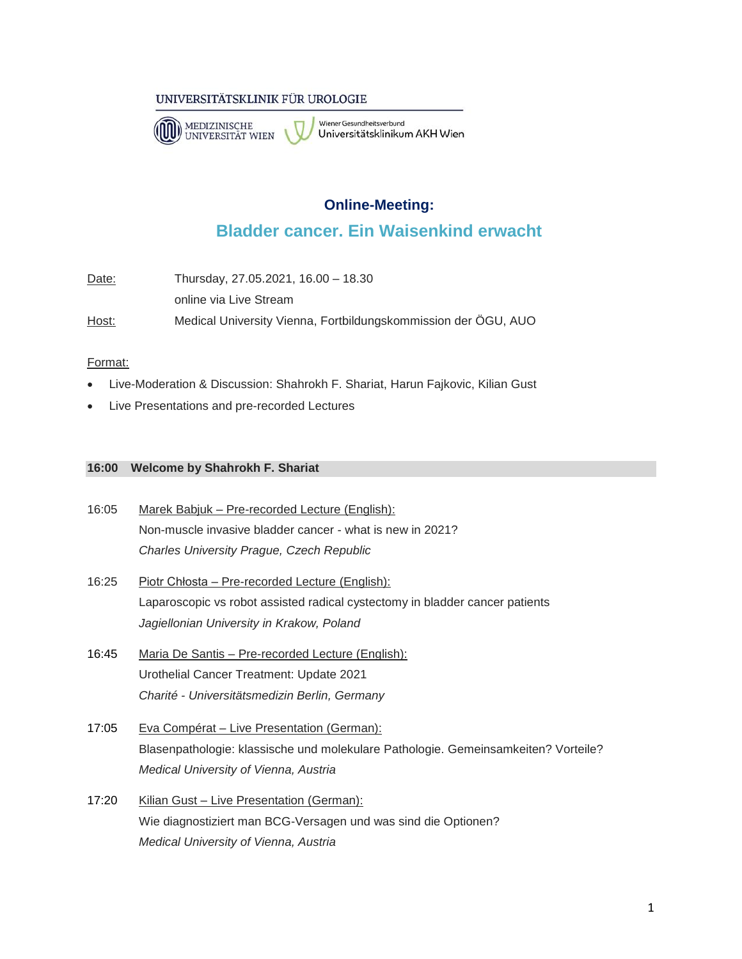## UNIVERSITÄTSKLINIK FÜR UROLOGIE



Wiener Gesundheitsverbund Universitätsklinikum AKH Wien

# **Online-Meeting:**

# **Bladder cancer. Ein Waisenkind erwacht**

| Date: | Thursday, 27.05.2021, 16.00 - 18.30                            |
|-------|----------------------------------------------------------------|
|       | online via Live Stream                                         |
| Host: | Medical University Vienna, Fortbildungskommission der ÖGU, AUO |

## Format:

- Live-Moderation & Discussion: Shahrokh F. Shariat, Harun Fajkovic, Kilian Gust
- Live Presentations and pre-recorded Lectures

#### **16:00 Welcome by Shahrokh F. Shariat**

- 16:05 Marek Babjuk Pre-recorded Lecture (English): Non-muscle invasive bladder cancer - what is new in 2021? *Charles University Prague, Czech Republic*
- 16:25 Piotr Chłosta Pre-recorded Lecture (English): Laparoscopic vs robot assisted radical cystectomy in bladder cancer patients *Jagiellonian University in Krakow, Poland*
- 16:45 Maria De Santis Pre-recorded Lecture (English): Urothelial Cancer Treatment: Update 2021 *Charité - Universitätsmedizin Berlin, Germany*
- 17:05 Eva Compérat Live Presentation (German): Blasenpathologie: klassische und molekulare Pathologie. Gemeinsamkeiten? Vorteile? *Medical University of Vienna, Austria*
- 17:20 Kilian Gust Live Presentation (German): Wie diagnostiziert man BCG-Versagen und was sind die Optionen? *Medical University of Vienna, Austria*